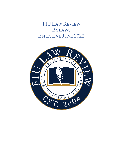**FIU LAW REVIEW BYLAWS EFFECTIVE JUNE 2022** 

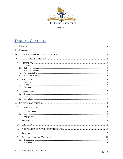

# TABLE OF CONTENTS

| I.                    |                            |  |
|-----------------------|----------------------------|--|
| II.                   |                            |  |
| III.                  |                            |  |
| IV.                   |                            |  |
| A.                    | 1.<br>2.<br>3.<br>4.<br>5. |  |
| B.                    | 1.<br>2.<br>3.             |  |
| $\mathcal{C}$ .       | 1.<br>2.<br>3.             |  |
| $V_{\cdot}$           |                            |  |
| A.<br>$\bf{B}$ .      | 1.<br>2.                   |  |
| $\mathcal{C}_{\cdot}$ |                            |  |
| D.                    |                            |  |
| E.                    |                            |  |
| F.                    |                            |  |
| G.                    | 1.<br>2.                   |  |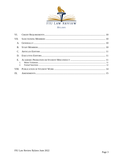

| VI.           |  |
|---------------|--|
| VII.          |  |
| $A_{\cdot}$   |  |
|               |  |
| $\mathcal{C}$ |  |
| D.            |  |
| $E_{\rm c}$   |  |
| VIII.         |  |
|               |  |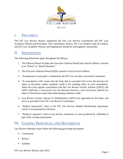

## <span id="page-3-0"></span>I. PREAMBLE

The FIU Law Review Bylaws implement the FIU Law Review Constitution and FIU Law Academic Policies and Procedure. The Constitution, Bylaws, FIU Law Student Code of Conduct, and FIU Law Academic Policies and Regulations should be read together consistently.

## <span id="page-3-1"></span>II. DEFINITIONS

The following definitions apply throughout the Bylaws:

- 1. The Editorial Board includes the Executive Editorial Board and Articles Editors; referred to as "Board" or "Board Members."
- 2. The Executive Editorial Board (EEB) consists of all Executive Editors.
- 3. "Foundational Curriculum" is defined by the FIU Law Faculty Curriculum Committee.
- 4. "In consultation with" means that the body that is consulted will review the decision for abuse of discretion, unless academic credit is the resulting effect of such consultation. When this term regards consultation with the Law Review Faculty Advisor (LRFA), the LRFA shall have a veto power over the decision; however, such veto power shall be for abuse of discretion except when determining academic credit.
- 5. Law Review Faculty Advisor & Administrator (LRFA) are appointed by the Dean, and serve as provided in the FIU Law Review Constitution.
- 6. "Student Agreement" refers to the FIU Law Review Student Membership Agreement, which is incorporated by reference.
- 7. "Student Comments" refers to any articles, comments, or notes produced by a Member as part of the writing requirement.

## <span id="page-3-2"></span>III. GUIDING PRINCIPLES AND DOCUMENTS

Law Review Members must follow the following governing documents:

- Constitution
- **Bylaws**
- **Syllabus**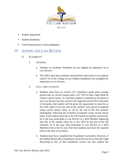

- **Student Agreement**
- **Student Handbook**
- Credit Requirements Acknowledgment

## <span id="page-4-1"></span><span id="page-4-0"></span>IV. JOINING THE LAW REVIEW

- <span id="page-4-3"></span><span id="page-4-2"></span>A. ELIGIBILITY
	- *1. GENERAL*
		- a. Students on Academic Probation are not eligible for admission on to Law Review.
		- b. The LRFA may deem students sanctioned for misconduct in accordance with § 7.01 of the College of Law Student Handbook to be ineligible for admission to Law Review.
	- *2. FULL-TIME STUDENTS*
		- a. Students must have an overall 2.67 cumulative grade point average (based only on curved classes) and a 2.67 GPA in their Legal Skills & Values I and II classes. If a full-time student is extended an invitation to join Law Review but does not have the required overall GPA at the time of invitation, that student will be given the opportunity to raise his or her GPA either (1) by the end of the summer class period (computed using curved classes only); or (2) by the end of the fall semester immediately following the invitation (computed using curved classes only). If the student raises his or her GPA based on summer coursework, he or she may participate in Law Review as a Staff Member beginning that fall. If the student raises his or her GPA by the end of the fall semester, he or she may only participate in Law Review as a Staff Member in his or her 3L year. Part-time students must have the required GPA at the time of invitation.
		- b. Students must have completed the Foundation Curriculum. However, if the student did not take a foundation course because he or she took Legal Reasoning in lieu of that foundation course, but that student has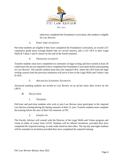

otherwise completed the Foundation Curriculum, that student is eligible for Law Review.

### *3. PART-TIME STUDENTS*

<span id="page-5-0"></span>Part-time students are eligible if they have completed the Foundation Curriculum, an overall 2.67 cumulative grade point average (based only on curved classes), and a 2.67 GPA in their Legal Skills & Values I and II classes by the end of the fourth semester.

#### *4. TRANSFER STUDENTS*

<span id="page-5-1"></span>Transfer students must have completed two semesters of legal writing and have earned at least 28 credit hours but are not required to have completed the Foundation Curriculum before participating on Law Review. The transfer student must have the required GPA, where the GPA from the legal writing courses from the previous institution will serve in lieu of the Legal Skills and Values I and II GPA.

#### *5. ADVANCED STANDING STUDENTS*

<span id="page-5-3"></span><span id="page-5-2"></span>Advanced standing students are invited to Law Review on an ad hoc basis after review by the LRFA.

#### B. SELECTION

*1. TRAINING*

<span id="page-5-4"></span>Full-time and part-time students who wish to join Law Review must participate in the required Law Review training during the Spring semester of their 1L year. Transfer students must complete the training before the start of their first semester at FIU.

#### *2. GRADE-ON*

<span id="page-5-5"></span>The Faculty Advisor will consult with the Director of the Legal Skills and Values program and create an index of scores from LSVII. Students will be offered invitations, provided they have completed the required training, in rank-order based on that index. The top day and night students will be extended an invitation provided they have completed the required training.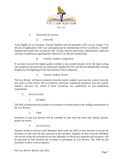

### *3. TRANSFER STUDENTS*

a) Generally

<span id="page-6-0"></span>To be eligible for an invitation, Transfer Students must be admitted to FIU Law by August 1<sup>st</sup> of the year of application to FIU Law and application for membership on FIU Law Review. Transfer Students must notify the Law Review EIC, Faculty Advisor and Faculty Administrator within ten (10) days of admission regarding their interest in Law Review membership.

b) Transfer Student Competition

If you have received the highest grade available in the second semester of for the legal writing class program at the previous law school and complete the FIU Law Review Membership Training Program by the beginning of the Fall semester of their admission.

c) Transfer Student Waiver

The Law Review will honor invitations from the transfer student's previous law school to join the law review of that school. The Law Review will honor conditional invitations from the transfer student's previous law school if those invitations are conditioned on post-competition requirements.

#### <span id="page-6-1"></span>C. INVITATIONS

*1. NUMBER*

<span id="page-6-2"></span>The EEB will determine the number of invitations to extend based on the staffing requirements of the Law Review.

*2. TIME*

<span id="page-6-3"></span>Invitations to join Law Review will be extended no later than one week after Spring semester grades are posted.

#### *3. ACCEPTANCE*

<span id="page-6-4"></span>Students invited to become Staff Members shall notify the EEB of their decision to accept the invitation no later than the date indicated in the invitation. Students invited to become Members who do not accept the invitation by the date indicated, or who do not respond to the invitation, will be presumed to have declined the invitation to participate on Law Review. The EEB has the discretion to allow a late acceptance.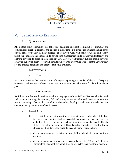

# <span id="page-7-1"></span><span id="page-7-0"></span>V. SELECTION OF EDITORS

## A. QUALIFICATIONS

All Editors must exemplify the following qualities: excellent command of grammar and composition; excellent editorial and citation skills; attention to detail; good understanding of the current state of the law in many subjects; an ability to work with fellow students and faculty members; strong organizational skills; strong time management skills; honesty and integrity; and a strong devotion to producing an excellent Law Review. Additionally, Editors should have the ability to: supervise others; work with outside authors who are writing articles for the Law Review; set and enforce deadlines; and offer constructive criticism.

## <span id="page-7-2"></span>B. EXPECTATIONS

*1. TIME*

<span id="page-7-3"></span>Each Editor must be able to serve a term of one year beginning the last day of classes in the spring semester. Staff Members selected to become Editors are expected to serve for the full academic year.

## *2. ENGAGEMENT*

<span id="page-7-4"></span>An Editor must be readily available and must engage in substantial Law Review editorial work and production during the summer, fall, and spring semesters. The work level of an editorial position is comparable to that found in a demanding legal job and often exceeds the time contemplated by the number of credits taken.

### <span id="page-7-5"></span>C. ELIGIBILITY

- 1. To be eligible for an Editor position, a candidate must be a Member of the Law Review in good standing who has successfully completed at least two semesters on the Law Review and has met such qualifications as may be specified by the EEB, in consultation with the LRFA. Transfer students are eligible for an editorial position during the students' second year of participation.
- 2. Members on Academic Probation are not eligible to be elected to any editorial position.
- 3. Members sanctioned for misconduct in accordance with §7.01 of the College of Law Student Handbook are not eligible to be elected to any editorial position.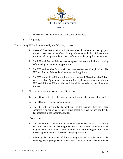

4. No Member may hold more than one editorial position.

#### D. SELECTION

<span id="page-8-0"></span>The incoming EEB will be selected by the following process:

- 1. Interested Members must submit the requested documents: a cover page, a resume, cover letter, a list of two faculty references, and a list of the editorial positions indicating the order of their preference, and sign up for an interview.
- 2. The EEB and Articles Editors must complete diversity and inclusion training before voting on the incoming positions.
- 3. The EEB and Articles Editors will then meet and review all applications. The EEB and Articles Editors then interviews each applicant.
- 4. The EEB and Articles Editors will then elect the new EEB and Articles Editors by secret ballot. Appointment to any position requires a majority vote of those EEB and ARticles Editors who participated in the selection and interview process.

#### <span id="page-8-1"></span>E. NOTIFICATION OF APPOINTMENT RESULTS

- 1. The EIC will notify the LRFA of the appointment results before publicizing.
- 2. The LRFA may veto any appointment.
- 3. The EIC will then notify the applicants of the position they have been appointed. The appointed Members must accept or reject the position by the date indicated in the appointment offer.
- <span id="page-8-2"></span>F. TRANSITION
	- 1. The new EEB and Articles Editors take office on the last day of classes during the spring semester. The incoming EEB and Articles Editors will work with the outgoing EEB and Articles Editors in a transition and training period from the time of appointment until the end of the spring semester.
	- 2. Following the appointment of the incoming EEB and Articles Editors, the incoming and outgoing EEBs will meet to discuss operation of the Law Review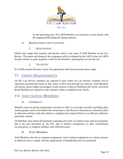

for the upcoming year. New EEB Members are expected to work closely with the outgoing EEB during the Spring semester.

### <span id="page-9-0"></span>G. RESIGNATIONS AND VACANCIES

### *1. RESIGNATIONS*

<span id="page-9-1"></span>Editors may resign their position and thereby return to the status of Staff Member on the Law Review. The nature and timing of the resignation will be evaluated by the LRFA when the LRFA decides whether to grant academic credit for the Member's participation on Law Review.

## *2. VACANCIES*

<span id="page-9-2"></span>If an EEB position becomes vacant, the appropriate selection provisions above apply.

## <span id="page-9-3"></span>VI. CREDIT REQUIREMENTS

All FIU Law Review members are required to take credits for Law Review. Students will be registered automatically based on their status in their track through Law Review. Staff Members can choose, and are highly encouraged, to take summer credits as Outlined in the Tracks. Executive Board Members are required to take summer credits as outlined in the Tracks.

## <span id="page-9-5"></span><span id="page-9-4"></span>VII. SANCTIONING MEMBERS

## A. GENERALLY

Members must not permit employment activities or other co-curricular activities (including other student groups, such as the Student Bar Association or the Board of Advocates) to adversely affect or otherwise interfere with their ability to complete their required duties in an efficient, effective, and timely manner.

All Members must attend all mandatory meetings and events. Exceptions may only be granted by, and at the sole discretion of, the EIC, due to medical emergencies or other extraordinary circumstances, or religious holidays with sufficient notice.

### B. STAFF MEMBERS

<span id="page-9-6"></span>Staff Members who fail to complete assignments, fail to submit assignments in a timely manner, or otherwise fail to comply with the requirements of membership may be sanctioned.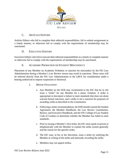

## C. ARTICLES EDITORS

<span id="page-10-0"></span>Articles Editors who fail to complete their editorial responsibilities, fail to submit assignments in a timely manner, or otherwise fail to comply with the requirements of membership may be sanctioned.

## D. EXECUTIVE EDITORS

<span id="page-10-1"></span>Executive Editors who fail to execute their editorial responsibilities in a timely or complete manner or otherwise fail to comply with the requirements of membership may be sanctioned.

## E. ACADEMIC PROBATION OR STUDENT MISCONDUCT

<span id="page-10-3"></span><span id="page-10-2"></span>Placement of any Member on Academic Probation or sanction for misconduct by the FIU Law Administration during a Member's Law Review tenure may result in sanctions. These cases will be referred directly from the FIU Law Administration to the LRFA for consideration under a hearing authorized to impose suspension or dismissal.

- *1. MINOR VIOLATIONS*
	- a. Any Member on the EEB may recommend to the EIC that he or she issue a "strike" for any Member for a minor violation. A strike is appropriate to document a failure to meet standards that does not alone warrant formal sanctions, and a strike is not a sanction for purposes of awarding credit as described in the Constitution.
	- b. Following a strike recommendation, the EEB should consult the Student Agreement; the Member Handbook; the Law Review Constitution, Bylaws, and Executive Handbook; and the FIU College of Law Student Code of Conduct to determine whether the Member has failed to meet standards.
	- c. Prior to issuing a Member's first strike, the EIC must speak in person or telephonically with the Member to explain the strike system generally and the reason for the specific strike.
	- d. The EIC may, in his or her discretion, issue a strike by notifying the Member in writing of the strike and internally recording the strike.
	- e. Members may not appeal strikes.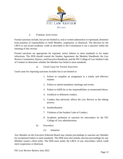

### *2. FORMAL SANCTIONS*

<span id="page-11-0"></span>Formal sanctions include, but are not limited to, oral or written admonition or reprimand, demotion from position of responsibility to Staff Member, suspension, or dismissal. The decision by the LRFA to not award academic credit as described in the Constitution is not a sanction within the meaning of this section.

Formal sanctions are appropriate for repeated, minor failures to meet standards or for major infractions. The EEB should consult the Student Agreement; the Member Handbook; the Law Review Constitution, Bylaws, and Executive Handbook; and the FIU College of Law Student Code of Conduct to determine whether the Member has failed to meet standards.

a) Good Cause for Formal Sanctions

Good cause for imposing sanctions includes but is not limited to:

- 1. Failure to complete an assignment in a timely and effective manner.
- 2. Failure to attend mandatory meetings and events.
- 3. Failure to fulfill his or her responsibilities as enumerated above.
- 4. Unethical or dishonest conduct.
- 5. Conduct that adversely affects the Law Review or the editing process.
- 6. Insubordination.
- 7. Violation of the Student Code of Conduct.
- 8. Academic probation or sanction for misconduct by the FIU College of Law administration.
- b) Procedure
	- *(1) Initiation*

Any Member on the Executive Editorial Board may initiate proceedings to sanction any Member for exceptional failure to meet standards. The EEB must also initiate sanction proceedings for any Member issued a third strike. The EEB must notify the LRFA of any misconduct which could merit suspension or dismissal.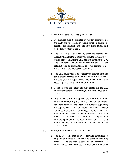

#### *(2) Hearings not authorized to suspend or dismiss.*

- a) Proceedings must be initiated by written submission to the EEB and the Member facing sanction stating the reasons for sanction and the recommendation (e.g. demotion, probation, etc.).
- b) The EIC will preside over any sanctions hearing. The Executive Managing Editors will assume the EIC's role during proceedings if the EEB seeks to sanction the EIC. The Member will be given an opportunity to present any relevant facts or circumstances as to the commission of the offense or the appropriate sanction.
- c) The EEB must vote as to whether the offense occurred (by a preponderance of the evidence) and if the offense did occur, what the appropriate sanction should be. Both steps require a two-thirds vote of the EEB.
- d) Members who are sanctioned may appeal that the EEB abused its discretion, in writing, within thirty days, to the LRFA.
- e) Within ten days of the appeal, the LRFA will review evidence supporting the EEB's decision to impose sanctions as well as the appellant's evidence supporting the appeal. The LRFA will review the EEB's decision for abuse of discretion. Following this review, the LRFA will affirm the EEB's decision or direct the EEB to reverse the sanctions. The LRFA must notify the EEB and the appellant of its recommendation in writing, within ten days of the decision. The decision of the LRFA is final.

#### *(3) Hearings authorized to suspend or dismiss.*

a) The LRFA will preside over hearings authorized to suspend or dismiss a Member. Any sanction, including those less severe than suspension or dismissal, are authorized at these hearings. The Member will be given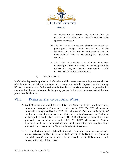

an opportunity to present any relevant facts or circumstances as to the commission of the offense or the appropriate sanction.

- b) The LRFA may take into consideration factors such as grade point average, unique circumstances of the Member, current Law Review work product, and any other relevant factor in determining the appropriate sanction.
- c) The LRFA must decide as to whether the offense occurred (by a preponderance of the evidence) and if the offense did occur, what the appropriate sanction should be. The decision of the LRFA is final.
- c) Probation Status

If a Member is placed on probation, the Member shall have one semester to improve, remain free of violations, or both. After one semester on probation, the body that imposed the sanction may lift the probation with no further notice to the Member. If the Member has not improved or has committed additional violations, the body may pursue further sanctions consistent with these procedures listed above.

## <span id="page-13-0"></span>VIII. PUBLICATION OF STUDENT WORK

- A. Staff Members who would like to publish their Comments in the Law Review may submit their completed Comment for review by the EEB. The EEB will evaluate submissions using blind IDs. The EEB will review each 2L's Comment for quality of writing; for addressing an area of current interest; novelty of argument; and likelihood of being referenced by those in the field. The EEB will create an order of merit for publication and submit that list to the LRFA. The LRFA will contact the Student Comment Faculty Advisor for each recommended Comment to confirm suitability for publication and may remove a Comment based on that feedback.
- B. The Law Review retains the right of first refusal as to Member comments created under the supervision of the Executive Comments Editor until the EEB rejects their Comment for publication. Comments submitted after the deadline set for EEB review are still subject to the right of first refusal.